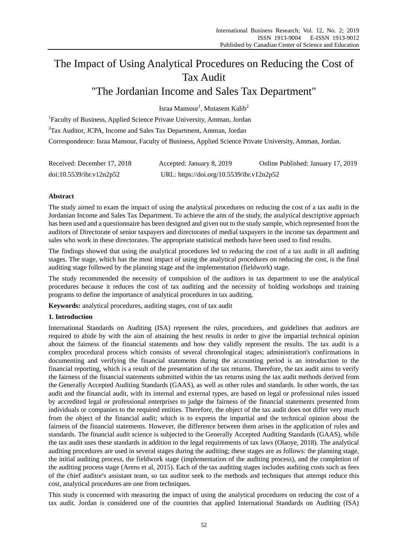# The Impact of Using Analytical Procedures on Reducing the Cost of Tax Audit

# "The Jordanian Income and Sales Tax Department"

Israa Mansour<sup>1</sup>, Mutasem Kalib<sup>2</sup>

<sup>1</sup>Faculty of Business, Applied Science Private University, Amman, Jordan

<sup>2</sup>Tax Auditor, JCPA, Income and Sales Tax Department, Amman, Jordan

Correspondence: Israa Mansour, Faculty of Business, Applied Science Private University, Amman, Jordan.

| Received: December 17, 2018 | Accepted: January 8, 2019                 | Online Published: January 17, 2019 |
|-----------------------------|-------------------------------------------|------------------------------------|
| doi:10.5539/ibr.v12n2p52    | URL: https://doi.org/10.5539/ibr.v12n2p52 |                                    |

# **Abstract**

The study aimed to exam the impact of using the analytical procedures on reducing the cost of a tax audit in the Jordanian Income and Sales Tax Department. To achieve the aim of the study, the analytical descriptive approach has been used and a questionnaire has been designed and given out to the study sample, which represented from the auditors of Directorate of senior taxpayers and directorates of medial taxpayers in the income tax department and sales who work in these directorates. The appropriate statistical methods have been used to find results.

The findings showed that using the analytical procedures led to reducing the cost of a tax audit in all auditing stages. The stage, which has the most impact of using the analytical procedures on reducing the cost, is the final auditing stage followed by the planning stage and the implementation (fieldwork) stage.

The study recommended the necessity of compulsion of the auditors in tax department to use the analytical procedures because it reduces the cost of tax auditing and the necessity of holding workshops and training programs to define the importance of analytical procedures in tax auditing.

**Keywords:** analytical procedures, auditing stages, cost of tax audit

# **1. Introduction**

International Standards on Auditing (ISA) represent the rules, procedures, and guidelines that auditors are required to abide by with the aim of attaining the best results in order to give the impartial technical opinion about the fairness of the financial statements and how they validly represent the results. The tax audit is a complex procedural process which consists of several chronological stages; administration's confirmations in documenting and verifying the financial statements during the accounting period is an introduction to the financial reporting, which is a result of the presentation of the tax returns. Therefore, the tax audit aims to verify the fairness of the financial statements submitted within the tax returns using the tax audit methods derived from the Generally Accepted Auditing Standards (GAAS), as well as other rules and standards. In other words, the tax audit and the financial audit, with its internal and external types, are based on legal or professional rules issued by accredited legal or professional enterprises to judge the fairness of the financial statements presented from individuals or companies to the required entities. Therefore, the object of the tax audit does not differ very much from the object of the financial audit; which is to express the impartial and the technical opinion about the fairness of the financial statements. However, the difference between them arises in the application of rules and standards. The financial audit science is subjected to the Generally Accepted Auditing Standards (GAAS), while the tax audit uses these standards in addition to the legal requirements of tax laws (Olaoye, 2018). The analytical auditing procedures are used in several stages during the auditing; these stages are as follows: the planning stage, the initial auditing process, the fieldwork stage (implementation of the auditing process), and the completion of the auditing process stage (Arens et al, 2015). Each of the tax auditing stages includes auditing costs such as fees of the chief auditor's assistant team, so tax auditor seek to the methods and techniques that attempt reduce this cost, analytical procedures are one from techniques.

This study is concerned with measuring the impact of using the analytical procedures on reducing the cost of a tax audit. Jordan is considered one of the countries that applied International Standards on Auditing (ISA)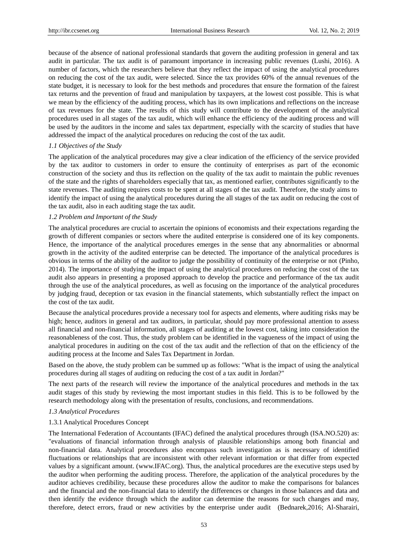because of the absence of national professional standards that govern the auditing profession in general and tax audit in particular. The tax audit is of paramount importance in increasing public revenues (Lushi, 2016). A number of factors, which the researchers believe that they reflect the impact of using the analytical procedures on reducing the cost of the tax audit, were selected. Since the tax provides 60% of the annual revenues of the state budget, it is necessary to look for the best methods and procedures that ensure the formation of the fairest tax returns and the prevention of fraud and manipulation by taxpayers, at the lowest cost possible. This is what we mean by the efficiency of the auditing process, which has its own implications and reflections on the increase of tax revenues for the state. The results of this study will contribute to the development of the analytical procedures used in all stages of the tax audit, which will enhance the efficiency of the auditing process and will be used by the auditors in the income and sales tax department, especially with the scarcity of studies that have addressed the impact of the analytical procedures on reducing the cost of the tax audit.

#### *1.1 Objectives of the Study*

The application of the analytical procedures may give a clear indication of the efficiency of the service provided by the tax auditor to customers in order to ensure the continuity of enterprises as part of the economic construction of the society and thus its reflection on the quality of the tax audit to maintain the public revenues of the state and the rights of shareholders especially that tax, as mentioned earlier, contributes significantly to the state revenues. The auditing requires costs to be spent at all stages of the tax audit. Therefore, the study aims to identify the impact of using the analytical procedures during the all stages of the tax audit on reducing the cost of the tax audit, also in each auditing stage the tax audit.

#### *1.2 Problem and Important of the Study*

The analytical procedures are crucial to ascertain the opinions of economists and their expectations regarding the growth of different companies or sectors where the audited enterprise is considered one of its key components. Hence, the importance of the analytical procedures emerges in the sense that any abnormalities or abnormal growth in the activity of the audited enterprise can be detected. The importance of the analytical procedures is obvious in terms of the ability of the auditor to judge the possibility of continuity of the enterprise or not (Pinho, 2014). The importance of studying the impact of using the analytical procedures on reducing the cost of the tax audit also appears in presenting a proposed approach to develop the practice and performance of the tax audit through the use of the analytical procedures, as well as focusing on the importance of the analytical procedures by judging fraud, deception or tax evasion in the financial statements, which substantially reflect the impact on the cost of the tax audit.

Because the analytical procedures provide a necessary tool for aspects and elements, where auditing risks may be high; hence, auditors in general and tax auditors, in particular, should pay more professional attention to assess all financial and non-financial information, all stages of auditing at the lowest cost, taking into consideration the reasonableness of the cost. Thus, the study problem can be identified in the vagueness of the impact of using the analytical procedures in auditing on the cost of the tax audit and the reflection of that on the efficiency of the auditing process at the Income and Sales Tax Department in Jordan.

Based on the above, the study problem can be summed up as follows: "What is the impact of using the analytical procedures during all stages of auditing on reducing the cost of a tax audit in Jordan?"

The next parts of the research will review the importance of the analytical procedures and methods in the tax audit stages of this study by reviewing the most important studies in this field. This is to be followed by the research methodology along with the presentation of results, conclusions, and recommendations.

#### *1.3 Analytical Procedures*

#### 1.3.1 Analytical Procedures Concept

The International Federation of Accountants (IFAC) defined the analytical procedures through (ISA.NO.520) as: "evaluations of financial information through analysis of plausible relationships among both financial and non-financial data. Analytical procedures also encompass such investigation as is necessary of identified fluctuations or relationships that are inconsistent with other relevant information or that differ from expected values by a significant amount. [\(www.IFAC.org\)](http://www.ifac.org/). Thus, the analytical procedures are the executive steps used by the auditor when performing the auditing process. Therefore, the application of the analytical procedures by the auditor achieves credibility, because these procedures allow the auditor to make the comparisons for balances and the financial and the non-financial data to identify the differences or changes in those balances and data and then identify the evidence through which the auditor can determine the reasons for such changes and may, therefore, detect errors, fraud or new activities by the enterprise under audit (Bednarek,2016; Al-Sharairi,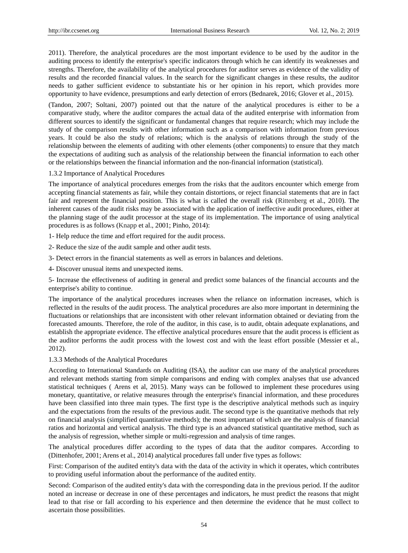2011). Therefore, the analytical procedures are the most important evidence to be used by the auditor in the auditing process to identify the enterprise's specific indicators through which he can identify its weaknesses and strengths. Therefore, the availability of the analytical procedures for auditor serves as evidence of the validity of results and the recorded financial values. In the search for the significant changes in these results, the auditor needs to gather sufficient evidence to substantiate his or her opinion in his report, which provides more opportunity to have evidence, presumptions and early detection of errors (Bednarek, 2016; Glover et al., 2015).

(Tandon, 2007; Soltani, 2007) pointed out that the nature of the analytical procedures is either to be a comparative study, where the auditor compares the actual data of the audited enterprise with information from different sources to identify the significant or fundamental changes that require research; which may include the study of the comparison results with other information such as a comparison with information from previous years. It could be also the study of relations; which is the analysis of relations through the study of the relationship between the elements of auditing with other elements (other components) to ensure that they match the expectations of auditing such as analysis of the relationship between the financial information to each other or the relationships between the financial information and the non-financial information (statistical).

#### 1.3.2 Importance of Analytical Procedures

The importance of analytical procedures emerges from the risks that the auditors encounter which emerge from accepting financial statements as fair, while they contain distortions, or reject financial statements that are in fact fair and represent the financial position. This is what is called the overall risk (Rittenberg et al., 2010). The inherent causes of the audit risks may be associated with the application of ineffective audit procedures, either at the planning stage of the audit processor at the stage of its implementation. The importance of using analytical procedures is as follows (Knapp et al., 2001; Pinho, 2014):

- 1- Help reduce the time and effort required for the audit process.
- 2- Reduce the size of the audit sample and other audit tests.
- 3- Detect errors in the financial statements as well as errors in balances and deletions.
- 4- Discover unusual items and unexpected items.

5- Increase the effectiveness of auditing in general and predict some balances of the financial accounts and the enterprise's ability to continue.

The importance of the analytical procedures increases when the reliance on information increases, which is reflected in the results of the audit process. The analytical procedures are also more important in determining the fluctuations or relationships that are inconsistent with other relevant information obtained or deviating from the forecasted amounts. Therefore, the role of the auditor, in this case, is to audit, obtain adequate explanations, and establish the appropriate evidence. The effective analytical procedures ensure that the audit process is efficient as the auditor performs the audit process with the lowest cost and with the least effort possible (Messier et al., 2012).

#### 1.3.3 Methods of the Analytical Procedures

According to International Standards on Auditing (ISA), the auditor can use many of the analytical procedures and relevant methods starting from simple comparisons and ending with complex analyses that use advanced statistical techniques ( Arens et al, 2015). Many ways can be followed to implement these procedures using monetary, quantitative, or relative measures through the enterprise's financial information, and these procedures have been classified into three main types. The first type is the descriptive analytical methods such as inquiry and the expectations from the results of the previous audit. The second type is the quantitative methods that rely on financial analysis (simplified quantitative methods); the most important of which are the analysis of financial ratios and horizontal and vertical analysis. The third type is an advanced statistical quantitative method, such as the analysis of regression, whether simple or multi-regression and analysis of time ranges.

The analytical procedures differ according to the types of data that the auditor compares. According to (Dittenhofer, 2001; Arens et al., 2014) analytical procedures fall under five types as follows:

First: Comparison of the audited entity's data with the data of the activity in which it operates, which contributes to providing useful information about the performance of the audited entity.

Second: Comparison of the audited entity's data with the corresponding data in the previous period. If the auditor noted an increase or decrease in one of these percentages and indicators, he must predict the reasons that might lead to that rise or fall according to his experience and then determine the evidence that he must collect to ascertain those possibilities.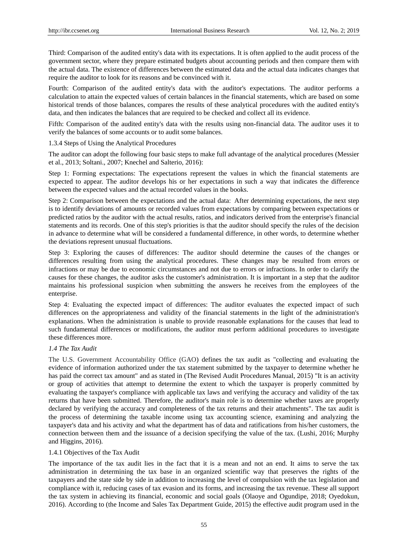Third: Comparison of the audited entity's data with its expectations. It is often applied to the audit process of the government sector, where they prepare estimated budgets about accounting periods and then compare them with the actual data. The existence of differences between the estimated data and the actual data indicates changes that require the auditor to look for its reasons and be convinced with it.

Fourth: Comparison of the audited entity's data with the auditor's expectations. The auditor performs a calculation to attain the expected values of certain balances in the financial statements, which are based on some historical trends of those balances, compares the results of these analytical procedures with the audited entity's data, and then indicates the balances that are required to be checked and collect all its evidence.

Fifth: Comparison of the audited entity's data with the results using non-financial data. The auditor uses it to verify the balances of some accounts or to audit some balances.

#### 1.3.4 Steps of Using the Analytical Procedures

The auditor can adopt the following four basic steps to make full advantage of the analytical procedures (Messier et al., 2013; Soltani., 2007; Knechel and Salterio, 2016):

Step 1: Forming expectations: The expectations represent the values in which the financial statements are expected to appear. The auditor develops his or her expectations in such a way that indicates the difference between the expected values and the actual recorded values in the books.

Step 2: Comparison between the expectations and the actual data: After determining expectations, the next step is to identify deviations of amounts or recorded values from expectations by comparing between expectations or predicted ratios by the auditor with the actual results, ratios, and indicators derived from the enterprise's financial statements and its records. One of this step's priorities is that the auditor should specify the rules of the decision in advance to determine what will be considered a fundamental difference, in other words, to determine whether the deviations represent unusual fluctuations.

Step 3: Exploring the causes of differences: The auditor should determine the causes of the changes or differences resulting from using the analytical procedures. These changes may be resulted from errors or infractions or may be due to economic circumstances and not due to errors or infractions. In order to clarify the causes for these changes, the auditor asks the customer's administration. It is important in a step that the auditor maintains his professional suspicion when submitting the answers he receives from the employees of the enterprise.

Step 4: Evaluating the expected impact of differences: The auditor evaluates the expected impact of such differences on the appropriateness and validity of the financial statements in the light of the administration's explanations. When the administration is unable to provide reasonable explanations for the causes that lead to such fundamental differences or modifications, the auditor must perform additional procedures to investigate these differences more.

#### *1.4 The Tax Audit*

The U.S. Government Accountability Office (GAO) defines the tax audit as "collecting and evaluating the evidence of information authorized under the tax statement submitted by the taxpayer to determine whether he has paid the correct tax amount" and as stated in (The Revised Audit Procedures Manual, 2015) "It is an activity or group of activities that attempt to determine the extent to which the taxpayer is properly committed by evaluating the taxpayer's compliance with applicable tax laws and verifying the accuracy and validity of the tax returns that have been submitted. Therefore, the auditor's main role is to determine whether taxes are properly declared by verifying the accuracy and completeness of the tax returns and their attachments". The tax audit is the process of determining the taxable income using tax accounting science, examining and analyzing the taxpayer's data and his activity and what the department has of data and ratifications from his/her customers, the connection between them and the issuance of a decision specifying the value of the tax. (Lushi, 2016; Murphy and Higgins, 2016).

#### 1.4.1 Objectives of the Tax Audit

The importance of the tax audit lies in the fact that it is a mean and not an end. It aims to serve the tax administration in determining the tax base in an organized scientific way that preserves the rights of the taxpayers and the state side by side in addition to increasing the level of compulsion with the tax legislation and compliance with it, reducing cases of tax evasion and its forms, and increasing the tax revenue. These all support the tax system in achieving its financial, economic and social goals (Olaoye and Ogundipe, 2018; Oyedokun, 2016). According to (the Income and Sales Tax Department Guide, 2015) the effective audit program used in the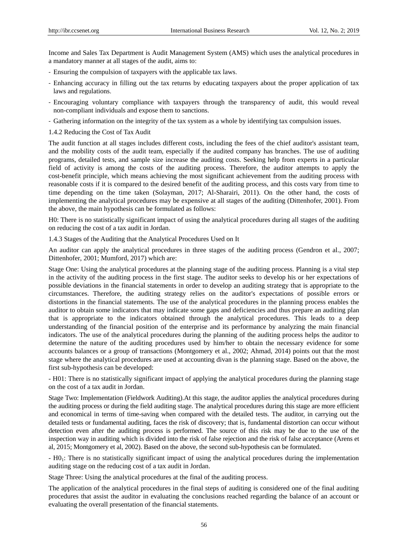Income and Sales Tax Department is Audit Management System (AMS) which uses the analytical procedures in a mandatory manner at all stages of the audit, aims to:

- *-* Ensuring the compulsion of taxpayers with the applicable tax laws.
- *-* Enhancing accuracy in filling out the tax returns by educating taxpayers about the proper application of tax laws and regulations.
- *-* Encouraging voluntary compliance with taxpayers through the transparency of audit, this would reveal non-compliant individuals and expose them to sanctions.
- *-* Gathering information on the integrity of the tax system as a whole by identifying tax compulsion issues.
- 1.4.2 Reducing the Cost of Tax Audit

The audit function at all stages includes different costs, including the fees of the chief auditor's assistant team, and the mobility costs of the audit team, especially if the audited company has branches. The use of auditing programs, detailed tests, and sample size increase the auditing costs. Seeking help from experts in a particular field of activity is among the costs of the auditing process. Therefore, the auditor attempts to apply the cost-benefit principle, which means achieving the most significant achievement from the auditing process with reasonable costs if it is compared to the desired benefit of the auditing process, and this costs vary from time to time depending on the time taken (Solayman, 2017; Al-Sharairi, 2011). On the other hand, the costs of implementing the analytical procedures may be expensive at all stages of the auditing (Dittenhofer, 2001). From the above, the main hypothesis can be formulated as follows:

H0: There is no statistically significant impact of using the analytical procedures during all stages of the auditing on reducing the cost of a tax audit in Jordan.

1.4.3 Stages of the Auditing that the Analytical Procedures Used on It

An auditor can apply the analytical procedures in three stages of the auditing process (Gendron et al., 2007; Dittenhofer, 2001; Mumford, 2017) which are:

Stage One: Using the analytical procedures at the planning stage of the auditing process. Planning is a vital step in the activity of the auditing process in the first stage. The auditor seeks to develop his or her expectations of possible deviations in the financial statements in order to develop an auditing strategy that is appropriate to the circumstances. Therefore, the auditing strategy relies on the auditor's expectations of possible errors or distortions in the financial statements. The use of the analytical procedures in the planning process enables the auditor to obtain some indicators that may indicate some gaps and deficiencies and thus prepare an auditing plan that is appropriate to the indicators obtained through the analytical procedures. This leads to a deep understanding of the financial position of the enterprise and its performance by analyzing the main financial indicators. The use of the analytical procedures during the planning of the auditing process helps the auditor to determine the nature of the auditing procedures used by him/her to obtain the necessary evidence for some accounts balances or a group of transactions (Montgomery et al., 2002; Ahmad, 2014) points out that the most stage where the analytical procedures are used at accounting divan is the planning stage. Based on the above, the first sub-hypothesis can be developed:

- H01: There is no statistically significant impact of applying the analytical procedures during the planning stage on the cost of a tax audit in Jordan.

Stage Two: Implementation (Fieldwork Auditing).At this stage, the auditor applies the analytical procedures during the auditing process or during the field auditing stage. The analytical procedures during this stage are more efficient and economical in terms of time-saving when compared with the detailed tests. The auditor, in carrying out the detailed tests or fundamental auditing, faces the risk of discovery; that is, fundamental distortion can occur without detection even after the auditing process is performed. The source of this risk may be due to the use of the inspection way in auditing which is divided into the risk of false rejection and the risk of false acceptance (Arens et al, 2015; Montgomery et al, 2002). Based on the above, the second sub-hypothesis can be formulated.

- H01: There is no statistically significant impact of using the analytical procedures during the implementation auditing stage on the reducing cost of a tax audit in Jordan.

Stage Three: Using the analytical procedures at the final of the auditing process.

The application of the analytical procedures in the final steps of auditing is considered one of the final auditing procedures that assist the auditor in evaluating the conclusions reached regarding the balance of an account or evaluating the overall presentation of the financial statements.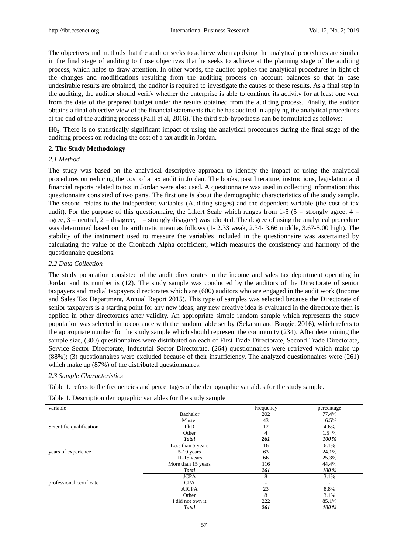The objectives and methods that the auditor seeks to achieve when applying the analytical procedures are similar in the final stage of auditing to those objectives that he seeks to achieve at the planning stage of the auditing process, which helps to draw attention. In other words, the auditor applies the analytical procedures in light of the changes and modifications resulting from the auditing process on account balances so that in case undesirable results are obtained, the auditor is required to investigate the causes of these results. As a final step in the auditing, the auditor should verify whether the enterprise is able to continue its activity for at least one year from the date of the prepared budget under the results obtained from the auditing process. Finally, the auditor obtains a final objective view of the financial statements that he has audited in applying the analytical procedures at the end of the auditing process (Palil et al, 2016). The third sub-hypothesis can be formulated as follows:

H02: There is no statistically significant impact of using the analytical procedures during the final stage of the auditing process on reducing the cost of a tax audit in Jordan.

#### **2. The Study Methodology**

#### *2.1 Method*

The study was based on the analytical descriptive approach to identify the impact of using the analytical procedures on reducing the cost of a tax audit in Jordan. The books, past literature, instructions, legislation and financial reports related to tax in Jordan were also used. A questionnaire was used in collecting information: this questionnaire consisted of two parts. The first one is about the demographic characteristics of the study sample. The second relates to the independent variables (Auditing stages) and the dependent variable (the cost of tax audit). For the purpose of this questionnaire, the Likert Scale which ranges from 1-5 (5 = strongly agree,  $4 =$ agree,  $3$  = neutral,  $2$  = disagree,  $1$  = strongly disagree) was adopted. The degree of using the analytical procedure was determined based on the arithmetic mean as follows (1- 2.33 weak, 2.34- 3.66 middle, 3.67-5.00 high). The stability of the instrument used to measure the variables included in the questionnaire was ascertained by calculating the value of the Cronbach Alpha coefficient, which measures the consistency and harmony of the questionnaire questions.

#### *2.2 Data Collection*

The study population consisted of the audit directorates in the income and sales tax department operating in Jordan and its number is (12). The study sample was conducted by the auditors of the Directorate of senior taxpayers and medial taxpayers directorates which are (600) auditors who are engaged in the audit work (Income and Sales Tax Department, Annual Report 2015). This type of samples was selected because the Directorate of senior taxpayers is a starting point for any new ideas; any new creative idea is evaluated in the directorate then is applied in other directorates after validity. An appropriate simple random sample which represents the study population was selected in accordance with the random table set by (Sekaran and Bougie, 2016), which refers to the appropriate number for the study sample which should represent the community (234). After determining the sample size, (300) questionnaires were distributed on each of First Trade Directorate, Second Trade Directorate, Service Sector Directorate, Industrial Sector Directorate. (264) questionnaires were retrieved which make up (88%); (3) questionnaires were excluded because of their insufficiency. The analyzed questionnaires were (261) which make up (87%) of the distributed questionnaires.

#### *2.3 Sample Characteristics*

Table 1. refers to the frequencies and percentages of the demographic variables for the study sample.

Table 1. Description demographic variables for the study sample

| variable                 |                    | Frequency | percentage |
|--------------------------|--------------------|-----------|------------|
|                          | Bachelor           | 202       | 77.4%      |
|                          | Master             | 43        | 16.5%      |
| Scientific qualification | <b>PhD</b>         | 12        | 4.6%       |
|                          | Other              | 4         | $1.5\%$    |
|                          | <b>Total</b>       | 261       | 100 %      |
|                          | Less than 5 years  | 16        | 6.1%       |
| years of experience      | $5-10$ years       | 63        | 24.1%      |
|                          | $11-15$ years      | 66        | 25.3%      |
|                          | More than 15 years | 116       | 44.4%      |
|                          | <b>Total</b>       | 261       | 100%       |
|                          | <b>JCPA</b>        | 8         | 3.1%       |
| professional certificate | <b>CPA</b>         |           |            |
|                          | <b>AICPA</b>       | 23        | 8.8%       |
|                          | Other              | 8         | $3.1\%$    |
|                          | I did not own it   | 222       | 85.1%      |
|                          | <b>Total</b>       | 261       | 100%       |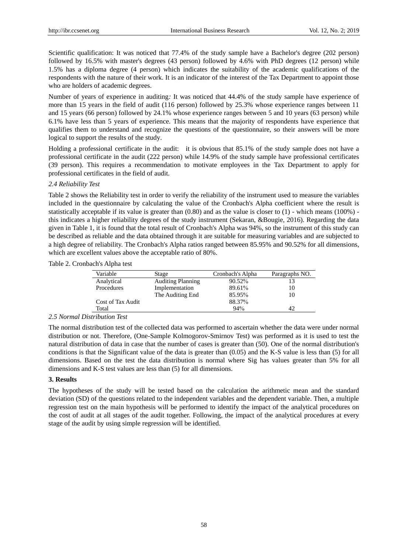Scientific qualification: It was noticed that 77.4% of the study sample have a Bachelor's degree (202 person) followed by 16.5% with master's degrees (43 person) followed by 4.6% with PhD degrees (12 person) while 1.5% has a diploma degree (4 person) which indicates the suitability of the academic qualifications of the respondents with the nature of their work. It is an indicator of the interest of the Tax Department to appoint those who are holders of academic degrees.

Number of years of experience in auditing*:* It was noticed that 44.4% of the study sample have experience of more than 15 years in the field of audit (116 person) followed by 25.3% whose experience ranges between 11 and 15 years (66 person) followed by 24.1% whose experience ranges between 5 and 10 years (63 person) while 6.1% have less than 5 years of experience. This means that the majority of respondents have experience that qualifies them to understand and recognize the questions of the questionnaire, so their answers will be more logical to support the results of the study.

Holding a professional certificate in the audit: it is obvious that 85.1% of the study sample does not have a professional certificate in the audit (222 person) while 14.9% of the study sample have professional certificates (39 person). This requires a recommendation to motivate employees in the Tax Department to apply for professional certificates in the field of audit.

# *2.4 Reliability Test*

Table 2 shows the Reliability test in order to verify the reliability of the instrument used to measure the variables included in the questionnaire by calculating the value of the Cronbach's Alpha coefficient where the result is statistically acceptable if its value is greater than  $(0.80)$  and as the value is closer to  $(1)$  - which means  $(100\%)$  this indicates a higher reliability degrees of the study instrument (Sekaran, &Bougie, 2016). Regarding the data given in Table 1, it is found that the total result of Cronbach's Alpha was 94%, so the instrument of this study can be described as reliable and the data obtained through it are suitable for measuring variables and are subjected to a high degree of reliability. The Cronbach's Alpha ratios ranged between 85.95% and 90.52% for all dimensions, which are excellent values above the acceptable ratio of 80%.

Table 2. Cronbach's Alpha test

| Variable          | Stage                    | Cronbach's Alpha | Paragraphs NO. |
|-------------------|--------------------------|------------------|----------------|
| Analytical        | <b>Auditing Planning</b> | 90.52%           | 13             |
| Procedures        | Implementation           | 89.61%           | 10             |
|                   | The Auditing End         | 85.95%           | 10             |
| Cost of Tax Audit |                          | 88.37%           |                |
| Total             |                          | 94%              |                |
| -                 |                          |                  |                |

#### *2.5 Normal Distribution Test*

The normal distribution test of the collected data was performed to ascertain whether the data were under normal distribution or not. Therefore, (One-Sample Kolmogorov-Smirnov Test) was performed as it is used to test the natural distribution of data in case that the number of cases is greater than (50). One of the normal distribution's conditions is that the Significant value of the data is greater than (0.05) and the K-S value is less than (5) for all dimensions. Based on the test the data distribution is normal where Sig has values greater than 5% for all dimensions and K-S test values are less than (5) for all dimensions.

# **3. Results**

The hypotheses of the study will be tested based on the calculation the arithmetic mean and the standard deviation (SD) of the questions related to the independent variables and the dependent variable. Then, a multiple regression test on the main hypothesis will be performed to identify the impact of the analytical procedures on the cost of audit at all stages of the audit together. Following, the impact of the analytical procedures at every stage of the audit by using simple regression will be identified.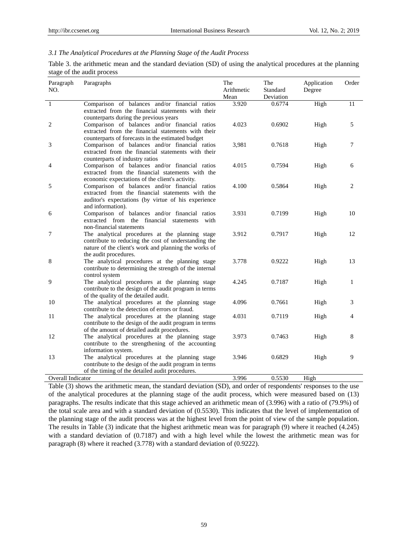# *3.1 The Analytical Procedures at the Planning Stage of the Audit Process*

Table 3. the arithmetic mean and the standard deviation (SD) of using the analytical procedures at the planning stage of the audit process

| Paragraph<br>NO.  | Paragraphs                                                                                                                                                                                | The<br>Arithmetic<br>Mean | The<br>Standard<br>Deviation | Application<br>Degree | Order |
|-------------------|-------------------------------------------------------------------------------------------------------------------------------------------------------------------------------------------|---------------------------|------------------------------|-----------------------|-------|
| 1                 | Comparison of balances and/or financial ratios<br>extracted from the financial statements with their<br>counterparts during the previous years                                            | 3.920                     | 0.6774                       | High                  | 11    |
| 2                 | Comparison of balances and/or financial ratios<br>extracted from the financial statements with their<br>counterparts of forecasts in the estimated budget                                 | 4.023                     | 0.6902                       | High                  | 5     |
| 3                 | Comparison of balances and/or financial ratios<br>extracted from the financial statements with their<br>counterparts of industry ratios                                                   | 3,981                     | 0.7618                       | High                  | 7     |
| 4                 | Comparison of balances and/or financial ratios<br>extracted from the financial statements with the<br>economic expectations of the client's activity.                                     | 4.015                     | 0.7594                       | High                  | 6     |
| 5                 | Comparison of balances and/or financial ratios<br>extracted from the financial statements with the<br>auditor's expectations (by virtue of his experience<br>and information).            | 4.100                     | 0.5864                       | High                  | 2     |
| 6                 | Comparison of balances and/or financial ratios<br>extracted from the financial statements<br>with<br>non-financial statements                                                             | 3.931                     | 0.7199                       | High                  | 10    |
| 7                 | The analytical procedures at the planning stage<br>contribute to reducing the cost of understanding the<br>nature of the client's work and planning the works of<br>the audit procedures. | 3.912                     | 0.7917                       | High                  | 12    |
| 8                 | The analytical procedures at the planning stage<br>contribute to determining the strength of the internal<br>control system                                                               | 3.778                     | 0.9222                       | High                  | 13    |
| 9                 | The analytical procedures at the planning stage<br>contribute to the design of the audit program in terms<br>of the quality of the detailed audit.                                        | 4.245                     | 0.7187                       | High                  | 1     |
| 10                | The analytical procedures at the planning stage<br>contribute to the detection of errors or fraud.                                                                                        | 4.096                     | 0.7661                       | High                  | 3     |
| 11                | The analytical procedures at the planning stage<br>contribute to the design of the audit program in terms<br>of the amount of detailed audit procedures.                                  | 4.031                     | 0.7119                       | High                  | 4     |
| 12                | The analytical procedures at the planning stage<br>contribute to the strengthening of the accounting<br>information system.                                                               | 3.973                     | 0.7463                       | High                  | 8     |
| 13                | The analytical procedures at the planning stage<br>contribute to the design of the audit program in terms<br>of the timing of the detailed audit procedures.                              | 3.946                     | 0.6829                       | High                  | 9     |
| Overall Indicator |                                                                                                                                                                                           | 3.996                     | 0.5530                       | High                  |       |

Table (3) shows the arithmetic mean, the standard deviation (SD), and order of respondents' responses to the use of the analytical procedures at the planning stage of the audit process, which were measured based on (13) paragraphs. The results indicate that this stage achieved an arithmetic mean of (3.996) with a ratio of (79.9%) of the total scale area and with a standard deviation of (0.5530). This indicates that the level of implementation of the planning stage of the audit process was at the highest level from the point of view of the sample population. The results in Table (3) indicate that the highest arithmetic mean was for paragraph (9) where it reached (4.245) with a standard deviation of (0.7187) and with a high level while the lowest the arithmetic mean was for paragraph (8) where it reached (3.778) with a standard deviation of (0.9222).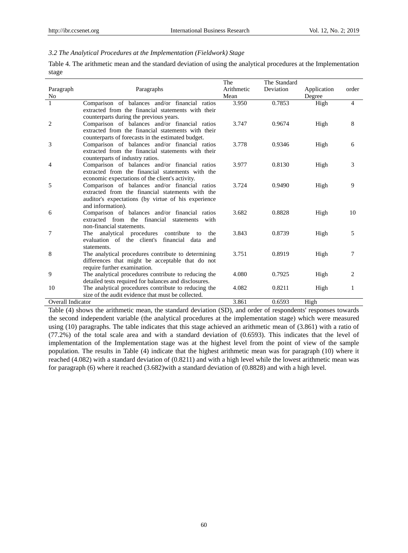# *3.2 The Analytical Procedures at the Implementation (Fieldwork) Stage*

Table 4. The arithmetic mean and the standard deviation of using the analytical procedures at the Implementation stage

|                   |                                                                                                          | The        | The Standard |             |       |
|-------------------|----------------------------------------------------------------------------------------------------------|------------|--------------|-------------|-------|
| Paragraph         | Paragraphs                                                                                               | Arithmetic | Deviation    | Application | order |
| No                |                                                                                                          | Mean       |              | Degree      |       |
|                   | Comparison of balances and/or financial ratios                                                           | 3.950      | 0.7853       | High        | 4     |
|                   | extracted from the financial statements with their                                                       |            |              |             |       |
|                   | counterparts during the previous years.                                                                  |            |              |             |       |
| 2                 | Comparison of balances and/or financial ratios                                                           | 3.747      | 0.9674       | High        | 8     |
|                   | extracted from the financial statements with their                                                       |            |              |             |       |
|                   | counterparts of forecasts in the estimated budget.                                                       |            |              |             |       |
| 3                 | Comparison of balances and/or financial ratios                                                           | 3.778      | 0.9346       | High        | 6     |
|                   | extracted from the financial statements with their                                                       |            |              |             |       |
|                   | counterparts of industry ratios.                                                                         |            |              |             |       |
| 4                 | Comparison of balances and/or financial ratios                                                           | 3.977      | 0.8130       | High        | 3     |
|                   | extracted from the financial statements with the                                                         |            |              |             |       |
|                   | economic expectations of the client's activity.                                                          |            |              |             |       |
| 5                 | Comparison of balances and/or financial ratios                                                           | 3.724      | 0.9490       | High        | 9     |
|                   | extracted from the financial statements with the                                                         |            |              |             |       |
|                   | auditor's expectations (by virtue of his experience                                                      |            |              |             |       |
|                   | and information).                                                                                        |            |              |             |       |
| 6                 | Comparison of balances and/or financial ratios                                                           | 3.682      | 0.8828       | High        | 10    |
|                   | extracted from the<br>financial<br>statements<br>with                                                    |            |              |             |       |
| 7                 | non-financial statements.                                                                                | 3.843      | 0.8739       |             | 5     |
|                   | analytical procedures contribute<br>The<br>the<br>to<br>evaluation of the client's financial data<br>and |            |              | High        |       |
|                   | statements.                                                                                              |            |              |             |       |
| 8                 | The analytical procedures contribute to determining                                                      | 3.751      | 0.8919       | High        | 7     |
|                   | differences that might be acceptable that do not                                                         |            |              |             |       |
|                   | require further examination.                                                                             |            |              |             |       |
| 9                 | The analytical procedures contribute to reducing the                                                     | 4.080      | 0.7925       | High        | 2     |
|                   | detailed tests required for balances and disclosures.                                                    |            |              |             |       |
| 10                | The analytical procedures contribute to reducing the                                                     | 4.082      | 0.8211       | High        | 1     |
|                   | size of the audit evidence that must be collected.                                                       |            |              |             |       |
| Overall Indicator |                                                                                                          | 3.861      | 0.6593       | High        |       |

Table (4) shows the arithmetic mean, the standard deviation (SD), and order of respondents' responses towards the second independent variable (the analytical procedures at the implementation stage) which were measured using (10) paragraphs. The table indicates that this stage achieved an arithmetic mean of (3.861) with a ratio of (77.2%) of the total scale area and with a standard deviation of (0.6593). This indicates that the level of implementation of the Implementation stage was at the highest level from the point of view of the sample population. The results in Table (4) indicate that the highest arithmetic mean was for paragraph (10) where it reached (4.082) with a standard deviation of (0.8211) and with a high level while the lowest arithmetic mean was for paragraph (6) where it reached (3.682)with a standard deviation of (0.8828) and with a high level.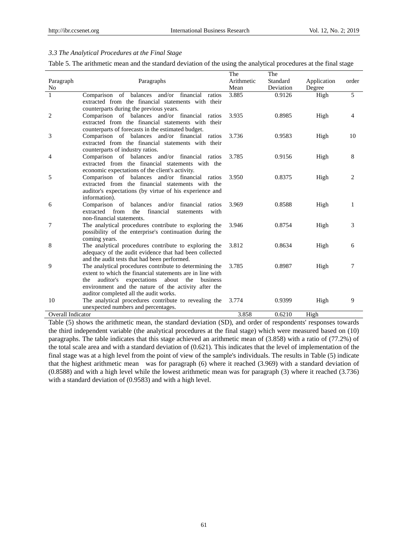#### *3.3 The Analytical Procedures at the Final Stage*

| Table 5. The arithmetic mean and the standard deviation of the using the analytical procedures at the final stage |  |  |  |  |
|-------------------------------------------------------------------------------------------------------------------|--|--|--|--|
|-------------------------------------------------------------------------------------------------------------------|--|--|--|--|

|                   |                                                              | The        | The       |             |       |
|-------------------|--------------------------------------------------------------|------------|-----------|-------------|-------|
| Paragraph         | Paragraphs                                                   | Arithmetic | Standard  | Application | order |
| No                |                                                              | Mean       | Deviation | Degree      |       |
| 1                 | Comparison of balances and/or financial<br>ratios            | 3.885      | 0.9126    | High        | 5     |
|                   | extracted from the financial statements with their           |            |           |             |       |
|                   | counterparts during the previous years.                      |            |           |             |       |
| $\overline{c}$    | Comparison of balances and/or financial ratios               | 3.935      | 0.8985    | High        | 4     |
|                   | extracted from the financial statements with their           |            |           |             |       |
|                   | counterparts of forecasts in the estimated budget.           |            |           |             |       |
| 3                 | Comparison of balances and/or financial ratios               | 3.736      | 0.9583    | High        | 10    |
|                   | extracted from the financial statements with their           |            |           |             |       |
|                   | counterparts of industry ratios.                             |            |           |             |       |
| 4                 | Comparison of balances and/or financial ratios               | 3.785      | 0.9156    | High        | 8     |
|                   | extracted from the financial statements with the             |            |           |             |       |
|                   | economic expectations of the client's activity.              |            |           |             |       |
| 5                 | Comparison of balances and/or financial ratios               | 3.950      | 0.8375    | High        | 2     |
|                   | extracted from the financial statements with the             |            |           |             |       |
|                   | auditor's expectations (by virtue of his experience and      |            |           |             |       |
|                   | information).                                                |            |           |             |       |
| 6                 | balances and/or financial<br>Comparison of<br>ratios         | 3.969      | 0.8588    | High        | 1     |
|                   | extracted from<br>the<br>financial<br>with<br>statements     |            |           |             |       |
|                   | non-financial statements.                                    |            |           |             |       |
| 7                 | The analytical procedures contribute to exploring the        | 3.946      | 0.8754    | High        | 3     |
|                   | possibility of the enterprise's continuation during the      |            |           |             |       |
|                   | coming years.                                                |            |           |             |       |
| 8                 | The analytical procedures contribute to exploring the        | 3.812      | 0.8634    | High        | 6     |
|                   | adequacy of the audit evidence that had been collected       |            |           |             |       |
|                   | and the audit tests that had been performed.                 |            |           |             |       |
| 9                 | The analytical procedures contribute to determining the      | 3.785      | 0.8987    | High        | 7     |
|                   | extent to which the financial statements are in line with    |            |           |             |       |
|                   | auditor's<br>about<br>expectations<br>the<br>the<br>business |            |           |             |       |
|                   | environment and the nature of the activity after the         |            |           |             |       |
|                   | auditor completed all the audit works.                       |            |           |             |       |
| 10                | The analytical procedures contribute to revealing the        | 3.774      | 0.9399    | High        | 9     |
|                   | unexpected numbers and percentages.                          | 3.858      | 0.6210    |             |       |
| Overall Indicator |                                                              |            |           | High        |       |

Table (5) shows the arithmetic mean, the standard deviation (SD), and order of respondents' responses towards the third independent variable (the analytical procedures at the final stage) which were measured based on (10) paragraphs. The table indicates that this stage achieved an arithmetic mean of (3.858) with a ratio of (77.2%) of the total scale area and with a standard deviation of (0.621). This indicates that the level of implementation of the final stage was at a high level from the point of view of the sample's individuals. The results in Table (5) indicate that the highest arithmetic mean was for paragraph (6) where it reached (3.969) with a standard deviation of (0.8588) and with a high level while the lowest arithmetic mean was for paragraph (3) where it reached (3.736) with a standard deviation of (0.9583) and with a high level.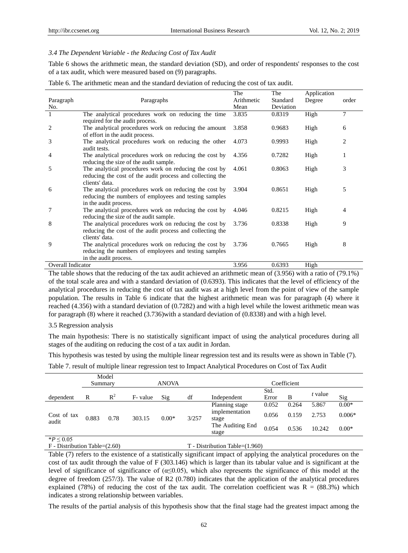### *3.4 The Dependent Variable - the Reducing Cost of Tax Audit*

Table 6 shows the arithmetic mean, the standard deviation (SD), and order of respondents' responses to the cost of a tax audit, which were measured based on (9) paragraphs.

| Table 6. The arithmetic mean and the standard deviation of reducing the cost of tax audit. |  |  |  |
|--------------------------------------------------------------------------------------------|--|--|--|
|                                                                                            |  |  |  |

|                   |                                                           | The        | The       | Application |       |
|-------------------|-----------------------------------------------------------|------------|-----------|-------------|-------|
| Paragraph         | Paragraphs                                                | Arithmetic | Standard  | Degree      | order |
| No.               |                                                           | Mean       | Deviation |             |       |
|                   | The analytical procedures work on reducing the time       | 3.835      | 0.8319    | High        | 7     |
|                   | required for the audit process.                           |            |           |             |       |
| 2                 | The analytical procedures work on reducing the amount     | 3.858      | 0.9683    | High        | 6     |
|                   | of effort in the audit process.                           |            |           |             |       |
| 3                 | The analytical procedures work on reducing the other      | 4.073      | 0.9993    | High        | 2     |
|                   | audit tests.                                              |            |           |             |       |
| 4                 | The analytical procedures work on reducing the cost by    | 4.356      | 0.7282    | High        | 1     |
|                   | reducing the size of the audit sample.                    |            |           |             |       |
| 5                 | The analytical procedures work on reducing the cost by    | 4.061      | 0.8063    | High        | 3     |
|                   | reducing the cost of the audit process and collecting the |            |           |             |       |
|                   | clients' data.                                            |            |           |             |       |
| 6                 | The analytical procedures work on reducing the cost by    | 3.904      | 0.8651    | High        | 5     |
|                   | reducing the numbers of employees and testing samples     |            |           |             |       |
|                   | in the audit process.                                     |            |           |             |       |
| 7                 | The analytical procedures work on reducing the cost by    | 4.046      | 0.8215    | High        | 4     |
|                   | reducing the size of the audit sample.                    |            |           |             |       |
| 8                 | The analytical procedures work on reducing the cost by    | 3.736      | 0.8338    | High        | 9     |
|                   | reducing the cost of the audit process and collecting the |            |           |             |       |
|                   | clients' data.                                            |            |           |             |       |
| 9                 | The analytical procedures work on reducing the cost by    | 3.736      | 0.7665    | High        | 8     |
|                   | reducing the numbers of employees and testing samples     |            |           |             |       |
|                   | in the audit process.                                     |            |           |             |       |
| Overall Indicator |                                                           | 3.956      | 0.6393    | High        |       |

The table shows that the reducing of the tax audit achieved an arithmetic mean of (3.956) with a ratio of (79.1%) of the total scale area and with a standard deviation of (0.6393). This indicates that the level of efficiency of the analytical procedures in reducing the cost of tax audit was at a high level from the point of view of the sample population. The results in Table 6 indicate that the highest arithmetic mean was for paragraph (4) where it reached (4.356) with a standard deviation of (0.7282) and with a high level while the lowest arithmetic mean was for paragraph (8) where it reached (3.736)with a standard deviation of (0.8338) and with a high level.

#### 3.5 Regression analysis

The main hypothesis: There is no statistically significant impact of using the analytical procedures during all stages of the auditing on reducing the cost of a tax audit in Jordan.

This hypothesis was tested by using the multiple linear regression test and its results were as shown in Table (7).

Table 7. result of multiple linear regression test to Impact Analytical Procedures on Cost of Tax Audit

|             |                         | Model |             |         |       |                  |       |       |         |          |
|-------------|-------------------------|-------|-------------|---------|-------|------------------|-------|-------|---------|----------|
|             | <b>ANOVA</b><br>Summary |       | Coefficient |         |       |                  |       |       |         |          |
|             |                         |       |             |         |       |                  | Std.  |       |         |          |
| dependent   | R                       | $R^2$ | F- value    | Sig     | df    | Independent      | Error | B     | t value | Sig      |
|             |                         |       |             |         |       | Planning stage   | 0.052 | 0.264 | 5.867   | $0.00*$  |
| Cost of tax |                         |       |             |         |       | implementation   | 0.056 | 0.159 | 2.753   | $0.006*$ |
| audit       | 0.883                   | 0.78  | 303.15      | $0.00*$ | 3/257 | stage            |       |       |         |          |
|             |                         |       |             |         |       | The Auditing End | 0.054 | 0.536 | 10.242  | $0.00*$  |
|             |                         |       |             |         |       | stage            |       |       |         |          |
| $*P < 0.05$ |                         |       |             |         |       |                  |       |       |         |          |

F - Distribution Table=(2.60) T - Distribution Table=(1.960)

Table (7) refers to the existence of a statistically significant impact of applying the analytical procedures on the cost of tax audit through the value of F (303.146) which is larger than its tabular value and is significant at the level of significance of significance of ( $\alpha \le 0.05$ ), which also represents the significance of this model at the degree of freedom (257/3). The value of R2 (0.780) indicates that the application of the analytical procedures explained (78%) of reducing the cost of the tax audit. The correlation coefficient was  $R = (88.3%)$  which indicates a strong relationship between variables.

The results of the partial analysis of this hypothesis show that the final stage had the greatest impact among the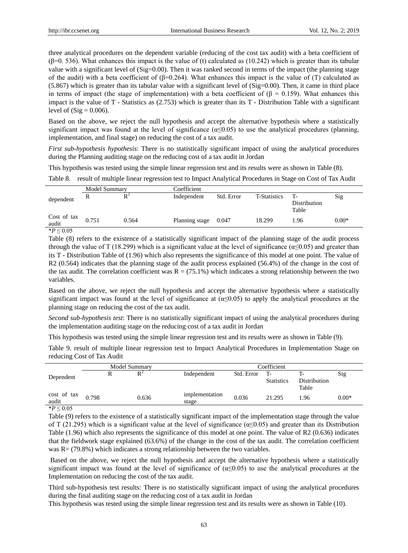three analytical procedures on the dependent variable (reducing of the cost tax audit) with a beta coefficient of  $(6=0.536)$ . What enhances this impact is the value of (t) calculated as  $(10.242)$  which is greater than its tabular value with a significant level of (Sig=0.00). Then it was ranked second in terms of the impact (the planning stage of the audit) with a beta coefficient of ( $\beta$ =0.264). What enhances this impact is the value of (T) calculated as  $(5.867)$  which is greater than its tabular value with a significant level of  $(Sig=0.00)$ . Then, it came in third place in terms of impact (the stage of implementation) with a beta coefficient of  $(β = 0.159)$ . What enhances this impact is the value of  $T$  - Statistics as (2.753) which is greater than its  $T$  - Distribution Table with a significant level of  $(Sig = 0.006)$ .

Based on the above, we reject the null hypothesis and accept the alternative hypothesis where a statistically significant impact was found at the level of significance  $(\alpha \leq 0.05)$  to use the analytical procedures (planning, implementation, and final stage) on reducing the cost of a tax audit.

*First sub-hypothesis hypothesis*: There is no statistically significant impact of using the analytical procedures during the Planning auditing stage on the reducing cost of a tax audit in Jordan

This hypothesis was tested using the simple linear regression test and its results were as shown in Table (8).

Table 8. result of multiple linear regression test to Impact Analytical Procedures in Stage on Cost of Tax Audit

|                      | Model Summary |       | Coefficient    |            |                     |                             |         |
|----------------------|---------------|-------|----------------|------------|---------------------|-----------------------------|---------|
| dependent            | R             | $R^2$ | Independent    | Std. Error | <b>T-Statistics</b> | T-<br>Distribution<br>Table | Sig     |
| Cost of tax<br>audit | 0.751         | 0.564 | Planning stage | 0.047      | 18.299              | 1.96                        | $0.00*$ |
| $*P < 0.05$          |               |       |                |            |                     |                             |         |

Table (8) refers to the existence of a statistically significant impact of the planning stage of the audit process through the value of T (18.299) which is a significant value at the level of significance ( $\alpha \le 0.05$ ) and greater than its T - Distribution Table of (1.96) which also represents the significance of this model at one point. The value of R2 (0.564) indicates that the planning stage of the audit process explained (56.4%) of the change in the cost of the tax audit. The correlation coefficient was  $R = (75.1\%)$  which indicates a strong relationship between the two variables.

Based on the above, we reject the null hypothesis and accept the alternative hypothesis where a statistically significant impact was found at the level of significance at  $(\alpha \leq 0.05)$  to apply the analytical procedures at the planning stage on reducing the cost of the tax audit.

*Second sub-hypothesis test*: There is no statistically significant impact of using the analytical procedures during the implementation auditing stage on the reducing cost of a tax audit in Jordan

This hypothesis was tested using the simple linear regression test and its results were as shown in Table (9).

Table 9. result of multiple linear regression test to Impact Analytical Procedures in Implementation Stage on reducing Cost of Tax Audit

|                      |       | Model Summary |           |                         |            | Coefficient       |                       |         |
|----------------------|-------|---------------|-----------|-------------------------|------------|-------------------|-----------------------|---------|
| Dependent            |       |               | $\rm R^2$ | Independent             | Std. Error | <b>Statistics</b> | Distribution<br>Table | Sig     |
| cost of tax<br>audit | 0.798 |               | 0.636     | implementation<br>stage | 0.036      | 21.295            | 1.96                  | $0.00*$ |
| $*D \times 0.05$     |       |               |           |                         |            |                   |                       |         |

\**P* ≤ 0.05

Table (9) refers to the existence of a statistically significant impact of the implementation stage through the value of T (21.295) which is a significant value at the level of significance ( $\alpha \le 0.05$ ) and greater than its Distribution Table (1.96) which also represents the significance of this model at one point. The value of R2 (0.636) indicates that the fieldwork stage explained (63.6%) of the change in the cost of the tax audit. The correlation coefficient was  $R = (79.8\%)$  which indicates a strong relationship between the two variables.

Based on the above, we reject the null hypothesis and accept the alternative hypothesis where a statistically significant impact was found at the level of significance of  $(\alpha \le 0.05)$  to use the analytical procedures at the Implementation on reducing the cost of the tax audit.

Third sub-hypothesis test results: There is no statistically significant impact of using the analytical procedures during the final auditing stage on the reducing cost of a tax audit in Jordan

This hypothesis was tested using the simple linear regression test and its results were as shown in Table (10).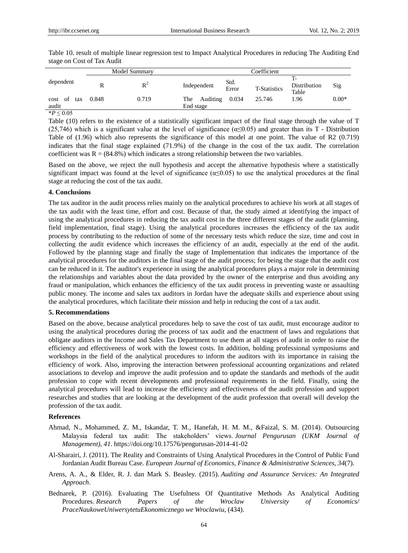| ັ                            |       |               |                                 |               |                     |                       |         |
|------------------------------|-------|---------------|---------------------------------|---------------|---------------------|-----------------------|---------|
|                              |       | Model Summary |                                 |               | Coefficient         |                       |         |
| dependent                    |       | $R^2$         | Independent                     | Std.<br>Error | <b>T-Statistics</b> | Distribution<br>Table | Sig     |
| cost<br>- of<br>tax<br>audit | 0.848 | 0.719         | The Auditing 0.034<br>End stage |               | 25.746              | .96                   | $0.00*$ |

Table 10. result of multiple linear regression test to Impact Analytical Procedures in reducing The Auditing End stage on Cost of Tax Audit

 $*P \leq 0.05$ 

Table (10) refers to the existence of a statistically significant impact of the final stage through the value of T (25,746) which is a significant value at the level of significance ( $\alpha \le 0.05$ ) and greater than its T - Distribution Table of (1.96) which also represents the significance of this model at one point. The value of R2 (0.719) indicates that the final stage explained (71.9%) of the change in the cost of the tax audit. The correlation coefficient was  $R = (84.8\%)$  which indicates a strong relationship between the two variables.

Based on the above, we reject the null hypothesis and accept the alternative hypothesis where a statistically significant impact was found at the level of significance ( $\alpha \leq 0.05$ ) to use the analytical procedures at the final stage at reducing the cost of the tax audit.

#### **4. Conclusions**

The tax auditor in the audit process relies mainly on the analytical procedures to achieve his work at all stages of the tax audit with the least time, effort and cost. Because of that, the study aimed at identifying the impact of using the analytical procedures in reducing the tax audit cost in the three different stages of the audit (planning, field implementation, final stage). Using the analytical procedures increases the efficiency of the tax audit process by contributing to the reduction of some of the necessary tests which reduce the size, time and cost in collecting the audit evidence which increases the efficiency of an audit, especially at the end of the audit. Followed by the planning stage and finally the stage of Implementation that indicates the importance of the analytical procedures for the auditors in the final stage of the audit process; for being the stage that the audit cost can be reduced in it. The auditor's experience in using the analytical procedures plays a major role in determining the relationships and variables about the data provided by the owner of the enterprise and thus avoiding any fraud or manipulation, which enhances the efficiency of the tax audit process in preventing waste or assaulting public money. The income and sales tax auditors in Jordan have the adequate skills and experience about using the analytical procedures, which facilitate their mission and help in reducing the cost of a tax audit.

#### **5. Recommendations**

Based on the above, because analytical procedures help to save the cost of tax audit, must encourage auditor to using the analytical procedures during the process of tax audit and the enactment of laws and regulations that obligate auditors in the Income and Sales Tax Department to use them at all stages of audit in order to raise the efficiency and effectiveness of work with the lowest costs. In addition, holding professional symposiums and workshops in the field of the analytical procedures to inform the auditors with its importance in raising the efficiency of work. Also, improving the interaction between professional accounting organizations and related associations to develop and improve the audit profession and to update the standards and methods of the audit profession to cope with recent developments and professional requirements in the field. Finally, using the analytical procedures will lead to increase the efficiency and effectiveness of the audit profession and support researches and studies that are looking at the development of the audit profession that overall will develop the profession of the tax audit.

#### **References**

- Ahmad, N., Mohammed, Z. M., Iskandar, T. M., Hanefah, H. M. M., &Faizal, S. M. (2014). Outsourcing Malaysia federal tax audit: The stakeholders' views. *Journal Pengurusan (UKM Journal of Management)*, *41*. https://doi.org/10.17576/pengurusan-2014-41-02
- Al-Sharairi, J. (2011). The Reality and Constraints of Using Analytical Procedures in the Control of Public Fund Jordanian Audit Bureau Case. *European Journal of Economics, Finance & Administrative Sciences, 34*(7).
- Arens, A. A., & Elder, R. J. dan Mark S. Beasley. (2015). *Auditing and Assurance Services: An Integrated Approach*.
- Bednarek, P. (2016). Evaluating The Usefulness Of Quantitative Methods As Analytical Auditing Procedures. *Research Papers of the Wroclaw University of Economics/ PraceNaukoweUniwersytetuEkonomicznego we Wroclawiu*, (434).